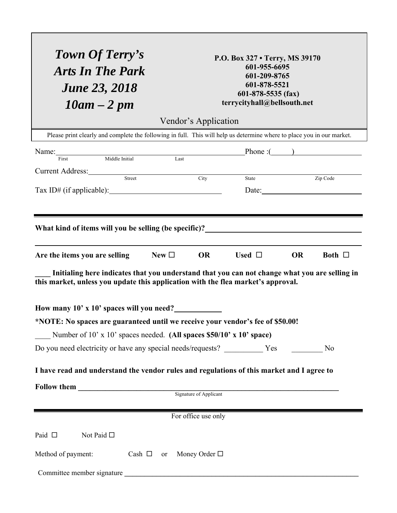| Town Of Terry's<br><b>Arts In The Park</b><br><b>June 23, 2018</b><br>$10am - 2pm$                                                                                                                                                                                                                                           | P.O. Box 327 • Terry, MS 39170<br>601-955-6695<br>601-209-8765<br>601-878-5521<br>$601 - 878 - 5535$ (fax)<br>terrycityhall@bellsouth.net |
|------------------------------------------------------------------------------------------------------------------------------------------------------------------------------------------------------------------------------------------------------------------------------------------------------------------------------|-------------------------------------------------------------------------------------------------------------------------------------------|
| Vendor's Application<br>Please print clearly and complete the following in full. This will help us determine where to place you in our market.                                                                                                                                                                               |                                                                                                                                           |
| Name: First Middle Initial Last                                                                                                                                                                                                                                                                                              | $\text{Phone} : (\_\_\_\_$                                                                                                                |
| Current Address: Street City<br>Tax ID# (if applicable): $\qquad \qquad$                                                                                                                                                                                                                                                     | Zip Code<br>State<br>Date:                                                                                                                |
|                                                                                                                                                                                                                                                                                                                              |                                                                                                                                           |
| $New\Box$<br>OR<br>Used $\Box$<br><b>OR</b><br>Are the items you are selling<br>Both $\Box$<br>Initialing here indicates that you understand that you can not change what you are selling in<br>this market, unless you update this application with the flea market's approval.<br>How many 10' x 10' spaces will you need? |                                                                                                                                           |
| *NOTE: No spaces are guaranteed until we receive your vendor's fee of \$50.00!                                                                                                                                                                                                                                               |                                                                                                                                           |
| Number of 10' x 10' spaces needed. (All spaces \$50/10' x 10' space)                                                                                                                                                                                                                                                         |                                                                                                                                           |
| Do you need electricity or have any special needs/requests? ____________ Yes __________ No                                                                                                                                                                                                                                   |                                                                                                                                           |
| I have read and understand the vendor rules and regulations of this market and I agree to                                                                                                                                                                                                                                    |                                                                                                                                           |
|                                                                                                                                                                                                                                                                                                                              |                                                                                                                                           |
| For office use only<br>Paid $\square$<br>Not Paid $\square$                                                                                                                                                                                                                                                                  |                                                                                                                                           |
| Method of payment:<br>Cash $\Box$<br>or                                                                                                                                                                                                                                                                                      | Money Order $\square$                                                                                                                     |